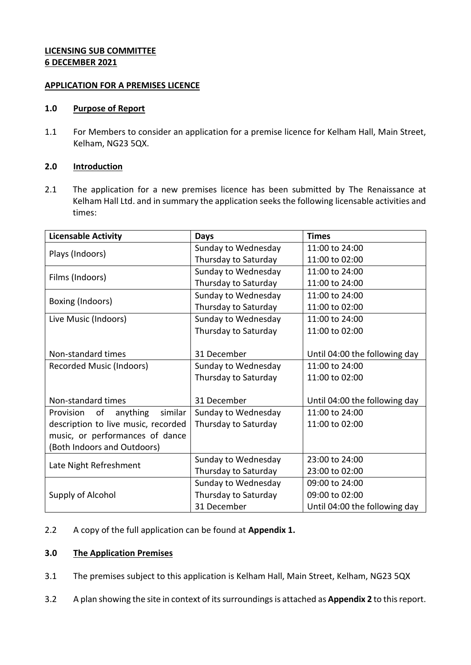## **LICENSING SUB COMMITTEE 6 DECEMBER 2021**

### **APPLICATION FOR A PREMISES LICENCE**

### **1.0 Purpose of Report**

1.1 For Members to consider an application for a premise licence for Kelham Hall, Main Street, Kelham, NG23 5QX.

### **2.0 Introduction**

2.1 The application for a new premises licence has been submitted by The Renaissance at Kelham Hall Ltd. and in summary the application seeks the following licensable activities and times:

| <b>Licensable Activity</b>          | <b>Days</b>          | <b>Times</b>                  |
|-------------------------------------|----------------------|-------------------------------|
| Plays (Indoors)                     | Sunday to Wednesday  | 11:00 to 24:00                |
|                                     | Thursday to Saturday | 11:00 to 02:00                |
| Films (Indoors)                     | Sunday to Wednesday  | 11:00 to 24:00                |
|                                     | Thursday to Saturday | 11:00 to 24:00                |
| Boxing (Indoors)                    | Sunday to Wednesday  | 11:00 to 24:00                |
|                                     | Thursday to Saturday | 11:00 to 02:00                |
| Live Music (Indoors)                | Sunday to Wednesday  | 11:00 to 24:00                |
|                                     | Thursday to Saturday | 11:00 to 02:00                |
|                                     |                      |                               |
| Non-standard times                  | 31 December          | Until 04:00 the following day |
| Recorded Music (Indoors)            | Sunday to Wednesday  | 11:00 to 24:00                |
|                                     | Thursday to Saturday | 11:00 to 02:00                |
|                                     |                      |                               |
| Non-standard times                  | 31 December          | Until 04:00 the following day |
| Provision of<br>anything<br>similar | Sunday to Wednesday  | 11:00 to 24:00                |
| description to live music, recorded | Thursday to Saturday | 11:00 to 02:00                |
| music, or performances of dance     |                      |                               |
| (Both Indoors and Outdoors)         |                      |                               |
| Late Night Refreshment              | Sunday to Wednesday  | 23:00 to 24:00                |
|                                     | Thursday to Saturday | 23:00 to 02:00                |
|                                     | Sunday to Wednesday  | 09:00 to 24:00                |
| Supply of Alcohol                   | Thursday to Saturday | 09:00 to 02:00                |
|                                     | 31 December          | Until 04:00 the following day |

# 2.2 A copy of the full application can be found at **Appendix 1.**

# **3.0 The Application Premises**

- 3.1 The premises subject to this application is Kelham Hall, Main Street, Kelham, NG23 5QX
- 3.2 A plan showing the site in context of its surroundings is attached as **Appendix 2** to this report.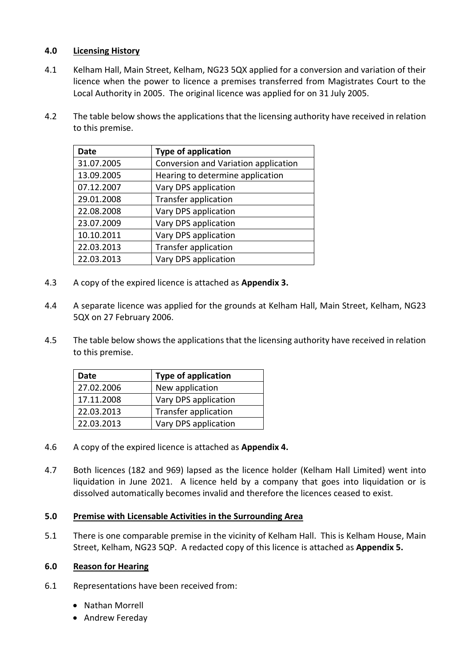## **4.0 Licensing History**

- 4.1 Kelham Hall, Main Street, Kelham, NG23 5QX applied for a conversion and variation of their licence when the power to licence a premises transferred from Magistrates Court to the Local Authority in 2005. The original licence was applied for on 31 July 2005.
- 4.2 The table below shows the applications that the licensing authority have received in relation to this premise.

| Date       | <b>Type of application</b>           |
|------------|--------------------------------------|
| 31.07.2005 | Conversion and Variation application |
| 13.09.2005 | Hearing to determine application     |
| 07.12.2007 | Vary DPS application                 |
| 29.01.2008 | <b>Transfer application</b>          |
| 22.08.2008 | Vary DPS application                 |
| 23.07.2009 | Vary DPS application                 |
| 10.10.2011 | Vary DPS application                 |
| 22.03.2013 | <b>Transfer application</b>          |
| 22.03.2013 | Vary DPS application                 |

- 4.3 A copy of the expired licence is attached as **Appendix 3.**
- 4.4 A separate licence was applied for the grounds at Kelham Hall, Main Street, Kelham, NG23 5QX on 27 February 2006.
- 4.5 The table below shows the applications that the licensing authority have received in relation to this premise.

| Date       | <b>Type of application</b> |
|------------|----------------------------|
| 27.02.2006 | New application            |
| 17.11.2008 | Vary DPS application       |
| 22.03.2013 | Transfer application       |
| 22.03.2013 | Vary DPS application       |

- 4.6 A copy of the expired licence is attached as **Appendix 4.**
- 4.7 Both licences (182 and 969) lapsed as the licence holder (Kelham Hall Limited) went into liquidation in June 2021. A licence held by a company that goes into liquidation or is dissolved automatically becomes invalid and therefore the licences ceased to exist.

### **5.0 Premise with Licensable Activities in the Surrounding Area**

5.1 There is one comparable premise in the vicinity of Kelham Hall. This is Kelham House, Main Street, Kelham, NG23 5QP. A redacted copy of this licence is attached as **Appendix 5.**

### **6.0 Reason for Hearing**

- 6.1 Representations have been received from:
	- Nathan Morrell
	- Andrew Fereday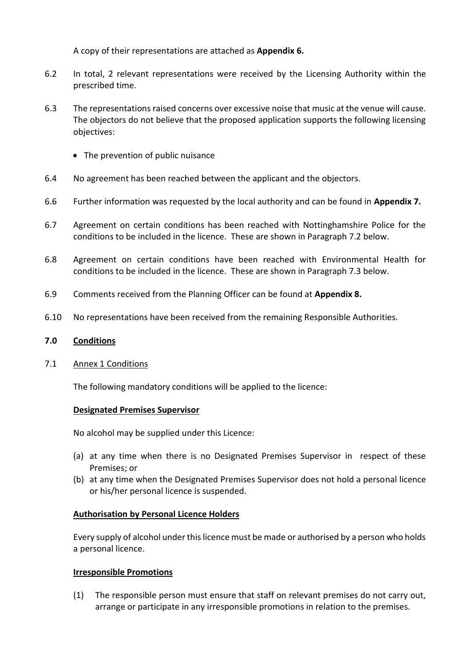A copy of their representations are attached as **Appendix 6.**

- 6.2 In total, 2 relevant representations were received by the Licensing Authority within the prescribed time.
- 6.3 The representations raised concerns over excessive noise that music at the venue will cause. The objectors do not believe that the proposed application supports the following licensing objectives:
	- The prevention of public nuisance
- 6.4 No agreement has been reached between the applicant and the objectors.
- 6.6 Further information was requested by the local authority and can be found in **Appendix 7.**
- 6.7 Agreement on certain conditions has been reached with Nottinghamshire Police for the conditions to be included in the licence. These are shown in Paragraph 7.2 below.
- 6.8 Agreement on certain conditions have been reached with Environmental Health for conditions to be included in the licence. These are shown in Paragraph 7.3 below.
- 6.9 Comments received from the Planning Officer can be found at **Appendix 8.**
- 6.10 No representations have been received from the remaining Responsible Authorities.

### **7.0 Conditions**

7.1 Annex 1 Conditions

The following mandatory conditions will be applied to the licence:

### **Designated Premises Supervisor**

No alcohol may be supplied under this Licence:

- (a) at any time when there is no Designated Premises Supervisor in respect of these Premises; or
- (b) at any time when the Designated Premises Supervisor does not hold a personal licence or his/her personal licence is suspended.

### **Authorisation by Personal Licence Holders**

Every supply of alcohol under this licence must be made or authorised by a person who holds a personal licence.

### **Irresponsible Promotions**

(1) The responsible person must ensure that staff on relevant premises do not carry out, arrange or participate in any irresponsible promotions in relation to the premises.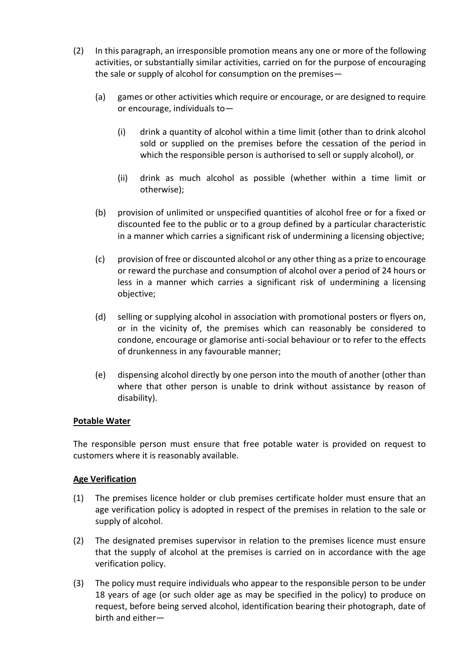- (2) In this paragraph, an irresponsible promotion means any one or more of the following activities, or substantially similar activities, carried on for the purpose of encouraging the sale or supply of alcohol for consumption on the premises—
	- (a) games or other activities which require or encourage, or are designed to require or encourage, individuals to—
		- (i) drink a quantity of alcohol within a time limit (other than to drink alcohol sold or supplied on the premises before the cessation of the period in which the responsible person is authorised to sell or supply alcohol), or
		- (ii) drink as much alcohol as possible (whether within a time limit or otherwise);
	- (b) provision of unlimited or unspecified quantities of alcohol free or for a fixed or discounted fee to the public or to a group defined by a particular characteristic in a manner which carries a significant risk of undermining a licensing objective;
	- (c) provision of free or discounted alcohol or any other thing as a prize to encourage or reward the purchase and consumption of alcohol over a period of 24 hours or less in a manner which carries a significant risk of undermining a licensing objective;
	- (d) selling or supplying alcohol in association with promotional posters or flyers on, or in the vicinity of, the premises which can reasonably be considered to condone, encourage or glamorise anti-social behaviour or to refer to the effects of drunkenness in any favourable manner;
	- (e) dispensing alcohol directly by one person into the mouth of another (other than where that other person is unable to drink without assistance by reason of disability).

# **Potable Water**

The responsible person must ensure that free potable water is provided on request to customers where it is reasonably available.

# **Age Verification**

- (1) The premises licence holder or club premises certificate holder must ensure that an age verification policy is adopted in respect of the premises in relation to the sale or supply of alcohol.
- (2) The designated premises supervisor in relation to the premises licence must ensure that the supply of alcohol at the premises is carried on in accordance with the age verification policy.
- (3) The policy must require individuals who appear to the responsible person to be under 18 years of age (or such older age as may be specified in the policy) to produce on request, before being served alcohol, identification bearing their photograph, date of birth and either—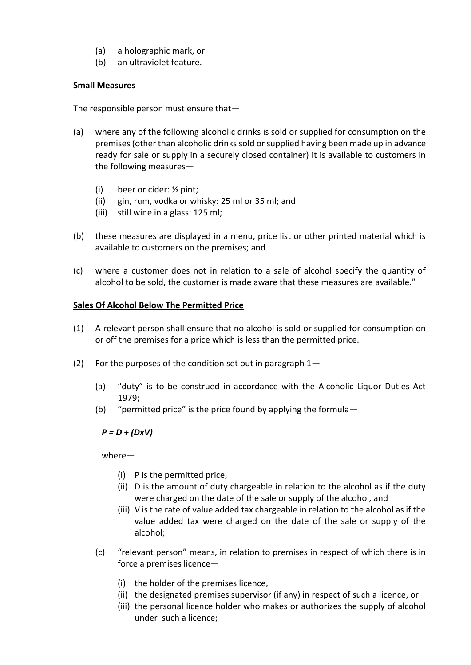- (a) a holographic mark, or
- (b) an ultraviolet feature.

## **Small Measures**

The responsible person must ensure that—

- (a) where any of the following alcoholic drinks is sold or supplied for consumption on the premises (other than alcoholic drinks sold or supplied having been made up in advance ready for sale or supply in a securely closed container) it is available to customers in the following measures—
	- (i) beer or cider: ½ pint;
	- (ii) gin, rum, vodka or whisky: 25 ml or 35 ml; and
	- (iii) still wine in a glass: 125 ml;
- (b) these measures are displayed in a menu, price list or other printed material which is available to customers on the premises; and
- (c) where a customer does not in relation to a sale of alcohol specify the quantity of alcohol to be sold, the customer is made aware that these measures are available."

### **Sales Of Alcohol Below The Permitted Price**

- (1) A relevant person shall ensure that no alcohol is sold or supplied for consumption on or off the premises for a price which is less than the permitted price.
- (2) For the purposes of the condition set out in paragraph  $1-$ 
	- (a) "duty" is to be construed in accordance with the Alcoholic Liquor Duties Act 1979;
	- (b) "permitted price" is the price found by applying the formula—

# *P = D + (DxV)*

where—

- (i) P is the permitted price,
- (ii) D is the amount of duty chargeable in relation to the alcohol as if the duty were charged on the date of the sale or supply of the alcohol, and
- (iii) V is the rate of value added tax chargeable in relation to the alcohol as if the value added tax were charged on the date of the sale or supply of the alcohol;
- (c) "relevant person" means, in relation to premises in respect of which there is in force a premises licence—
	- (i) the holder of the premises licence,
	- (ii) the designated premises supervisor (if any) in respect of such a licence, or
	- (iii) the personal licence holder who makes or authorizes the supply of alcohol under such a licence;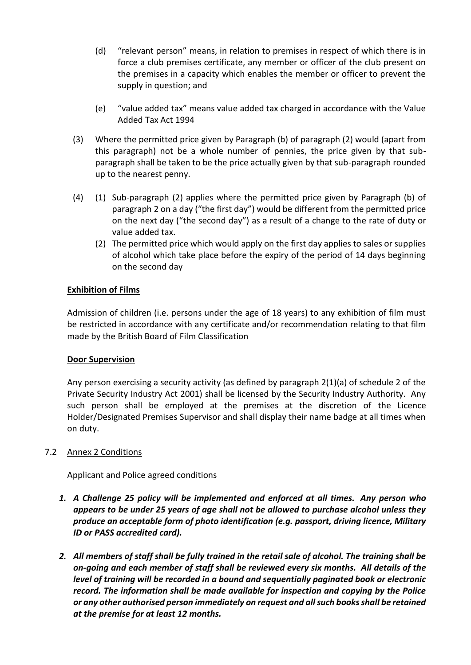- (d) "relevant person" means, in relation to premises in respect of which there is in force a club premises certificate, any member or officer of the club present on the premises in a capacity which enables the member or officer to prevent the supply in question; and
- (e) "value added tax" means value added tax charged in accordance with the Value Added Tax Act 1994
- (3) Where the permitted price given by Paragraph (b) of paragraph (2) would (apart from this paragraph) not be a whole number of pennies, the price given by that subparagraph shall be taken to be the price actually given by that sub-paragraph rounded up to the nearest penny.
- (4) (1) Sub-paragraph (2) applies where the permitted price given by Paragraph (b) of paragraph 2 on a day ("the first day") would be different from the permitted price on the next day ("the second day") as a result of a change to the rate of duty or value added tax.
	- (2) The permitted price which would apply on the first day applies to sales or supplies of alcohol which take place before the expiry of the period of 14 days beginning on the second day

# **Exhibition of Films**

Admission of children (i.e. persons under the age of 18 years) to any exhibition of film must be restricted in accordance with any certificate and/or recommendation relating to that film made by the British Board of Film Classification

### **Door Supervision**

Any person exercising a security activity (as defined by paragraph 2(1)(a) of schedule 2 of the Private Security Industry Act 2001) shall be licensed by the Security Industry Authority. Any such person shall be employed at the premises at the discretion of the Licence Holder/Designated Premises Supervisor and shall display their name badge at all times when on duty.

### 7.2 Annex 2 Conditions

Applicant and Police agreed conditions

- *1. A Challenge 25 policy will be implemented and enforced at all times. Any person who appears to be under 25 years of age shall not be allowed to purchase alcohol unless they produce an acceptable form of photo identification (e.g. passport, driving licence, Military ID or PASS accredited card).*
- *2. All members of staff shall be fully trained in the retail sale of alcohol. The training shall be on-going and each member of staff shall be reviewed every six months. All details of the level of training will be recorded in a bound and sequentially paginated book or electronic record. The information shall be made available for inspection and copying by the Police or any other authorised person immediately on request and all such books shall be retained at the premise for at least 12 months.*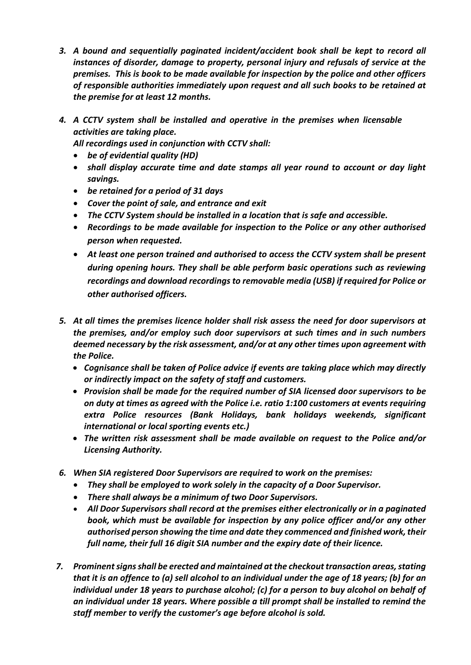- *3. A bound and sequentially paginated incident/accident book shall be kept to record all instances of disorder, damage to property, personal injury and refusals of service at the premises. This is book to be made available for inspection by the police and other officers of responsible authorities immediately upon request and all such books to be retained at the premise for at least 12 months.*
- *4. A CCTV system shall be installed and operative in the premises when licensable activities are taking place.*

*All recordings used in conjunction with CCTV shall:*

- *be of evidential quality (HD)*
- *shall display accurate time and date stamps all year round to account or day light savings.*
- *be retained for a period of 31 days*
- *Cover the point of sale, and entrance and exit*
- *The CCTV System should be installed in a location that is safe and accessible.*
- *Recordings to be made available for inspection to the Police or any other authorised person when requested.*
- *At least one person trained and authorised to access the CCTV system shall be present during opening hours. They shall be able perform basic operations such as reviewing recordings and download recordings to removable media (USB) if required for Police or other authorised officers.*
- *5. At all times the premises licence holder shall risk assess the need for door supervisors at the premises, and/or employ such door supervisors at such times and in such numbers deemed necessary by the risk assessment, and/or at any other times upon agreement with the Police.* 
	- *Cognisance shall be taken of Police advice if events are taking place which may directly or indirectly impact on the safety of staff and customers.*
	- *Provision shall be made for the required number of SIA licensed door supervisors to be on duty at times as agreed with the Police i.e. ratio 1:100 customers at events requiring extra Police resources (Bank Holidays, bank holidays weekends, significant international or local sporting events etc.)*
	- *The written risk assessment shall be made available on request to the Police and/or Licensing Authority.*
- *6. When SIA registered Door Supervisors are required to work on the premises:* 
	- *They shall be employed to work solely in the capacity of a Door Supervisor.*
	- *There shall always be a minimum of two Door Supervisors.*
	- *All Door Supervisors shall record at the premises either electronically or in a paginated book, which must be available for inspection by any police officer and/or any other authorised person showing the time and date they commenced and finished work, their full name, their full 16 digit SIA number and the expiry date of their licence.*
- *7. Prominent signs shall be erected and maintained at the checkout transaction areas, stating that it is an offence to (a) sell alcohol to an individual under the age of 18 years; (b) for an individual under 18 years to purchase alcohol; (c) for a person to buy alcohol on behalf of an individual under 18 years. Where possible a till prompt shall be installed to remind the staff member to verify the customer's age before alcohol is sold.*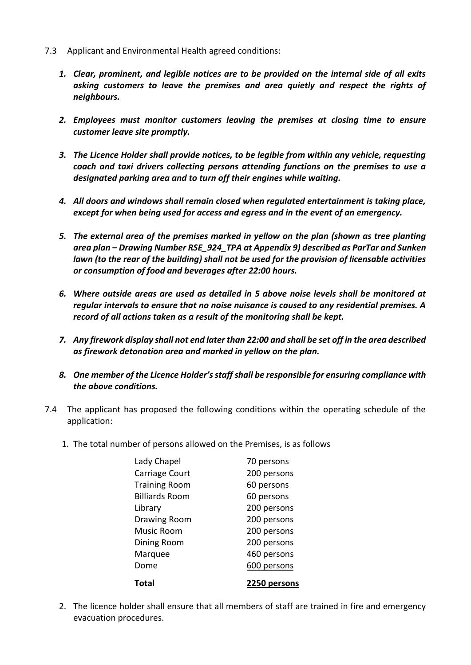- 7.3 Applicant and Environmental Health agreed conditions:
	- *1. Clear, prominent, and legible notices are to be provided on the internal side of all exits asking customers to leave the premises and area quietly and respect the rights of neighbours.*
	- *2. Employees must monitor customers leaving the premises at closing time to ensure customer leave site promptly.*
	- *3. The Licence Holder shall provide notices, to be legible from within any vehicle, requesting coach and taxi drivers collecting persons attending functions on the premises to use a designated parking area and to turn off their engines while waiting.*
	- *4. All doors and windows shall remain closed when regulated entertainment is taking place, except for when being used for access and egress and in the event of an emergency.*
	- *5. The external area of the premises marked in yellow on the plan (shown as tree planting area plan – Drawing Number RSE\_924\_TPA at Appendix 9) described as ParTar and Sunken lawn (to the rear of the building) shall not be used for the provision of licensable activities or consumption of food and beverages after 22:00 hours.*
	- *6. Where outside areas are used as detailed in 5 above noise levels shall be monitored at regular intervals to ensure that no noise nuisance is caused to any residential premises. A record of all actions taken as a result of the monitoring shall be kept.*
	- *7. Any firework display shall not end later than 22:00 and shall be set off in the area described as firework detonation area and marked in yellow on the plan.*
	- *8. One member of the Licence Holder's staff shall be responsible for ensuring compliance with the above conditions.*
- 7.4 The applicant has proposed the following conditions within the operating schedule of the application:
	- 1. The total number of persons allowed on the Premises, is as follows

| Total                 | 2250 persons |
|-----------------------|--------------|
| Dome                  | 600 persons  |
| Marquee               | 460 persons  |
| Dining Room           | 200 persons  |
| Music Room            | 200 persons  |
| Drawing Room          | 200 persons  |
| Library               | 200 persons  |
| <b>Billiards Room</b> | 60 persons   |
| <b>Training Room</b>  | 60 persons   |
| Carriage Court        | 200 persons  |
| Lady Chapel           | 70 persons   |

2. The licence holder shall ensure that all members of staff are trained in fire and emergency evacuation procedures.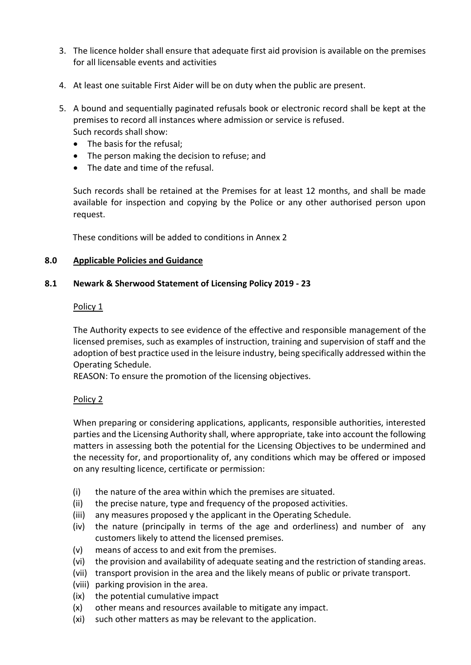- 3. The licence holder shall ensure that adequate first aid provision is available on the premises for all licensable events and activities
- 4. At least one suitable First Aider will be on duty when the public are present.
- 5. A bound and sequentially paginated refusals book or electronic record shall be kept at the premises to record all instances where admission or service is refused. Such records shall show:
	- The basis for the refusal:
	- The person making the decision to refuse; and
	- The date and time of the refusal.

Such records shall be retained at the Premises for at least 12 months, and shall be made available for inspection and copying by the Police or any other authorised person upon request.

These conditions will be added to conditions in Annex 2

### **8.0 Applicable Policies and Guidance**

### **8.1 Newark & Sherwood Statement of Licensing Policy 2019 - 23**

### Policy 1

The Authority expects to see evidence of the effective and responsible management of the licensed premises, such as examples of instruction, training and supervision of staff and the adoption of best practice used in the leisure industry, being specifically addressed within the Operating Schedule.

REASON: To ensure the promotion of the licensing objectives.

# Policy 2

When preparing or considering applications, applicants, responsible authorities, interested parties and the Licensing Authority shall, where appropriate, take into account the following matters in assessing both the potential for the Licensing Objectives to be undermined and the necessity for, and proportionality of, any conditions which may be offered or imposed on any resulting licence, certificate or permission:

- (i) the nature of the area within which the premises are situated.
- (ii) the precise nature, type and frequency of the proposed activities.
- (iii) any measures proposed y the applicant in the Operating Schedule.
- (iv) the nature (principally in terms of the age and orderliness) and number of any customers likely to attend the licensed premises.
- (v) means of access to and exit from the premises.
- (vi) the provision and availability of adequate seating and the restriction of standing areas.
- (vii) transport provision in the area and the likely means of public or private transport.
- (viii) parking provision in the area.
- (ix) the potential cumulative impact
- (x) other means and resources available to mitigate any impact.
- (xi) such other matters as may be relevant to the application.